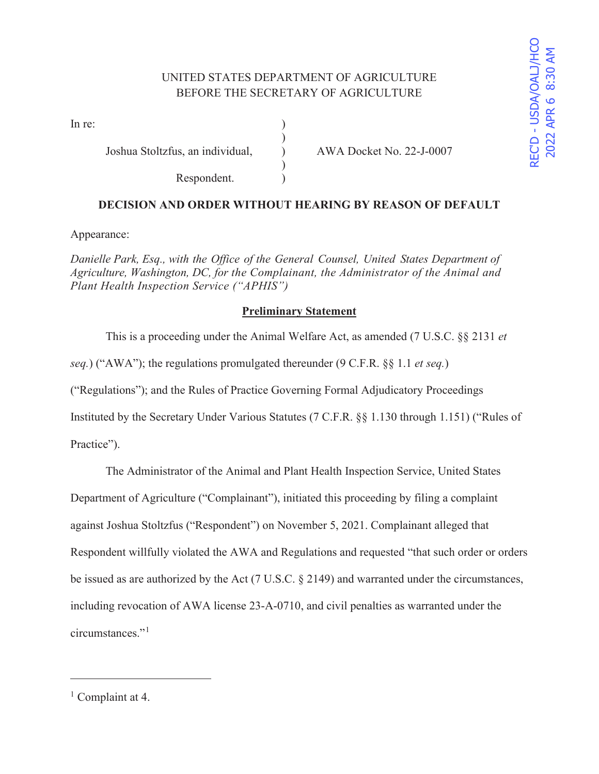## UNITED STATES DEPARTMENT OF AGRICULTURE BEFORE THE SECRETARY OF AGRICULTURE

)

 $\mathcal{L}$ 

In re:  $\qquad \qquad$  )

Joshua Stoltzfus, an individual, ) AWA Docket No. 22-J-0007

Respondent.

# **DECISION AND ORDER WITHOUT HEARING BY REASON OF DEFAULT**

Appearance:

*Danielle Park, Esq., with the Office of the General Counsel, United States Department of Agriculture, Washington, DC, for the Complainant, the Administrator of the Animal and Plant Health Inspection Service ("APHIS")* 

### **Preliminary Statement**

This is a proceeding under the Animal Welfare Act, as amended (7 U.S.C. §§ 2131 *et* 

*seq.*) ("AWA"); the regulations promulgated thereunder (9 C.F.R. §§ 1.1 *et seq.*)

("Regulations"); and the Rules of Practice Governing Formal Adjudicatory Proceedings

Instituted by the Secretary Under Various Statutes (7 C.F.R. §§ 1.130 through 1.151) ("Rules of

Practice").

The Administrator of the Animal and Plant Health Inspection Service, United States

Department of Agriculture ("Complainant"), initiated this proceeding by filing a complaint

against Joshua Stoltzfus ("Respondent") on November 5, 2021. Complainant alleged that

Respondent willfully violated the AWA and Regulations and requested "that such order or orders

be issued as are authorized by the Act (7 U.S.C. § 2149) and warranted under the circumstances,

including revocation of AWA license 23-A-0710, and civil penalties as warranted under the

circumstances."<sup>1</sup>

<sup>&</sup>lt;sup>1</sup> Complaint at 4.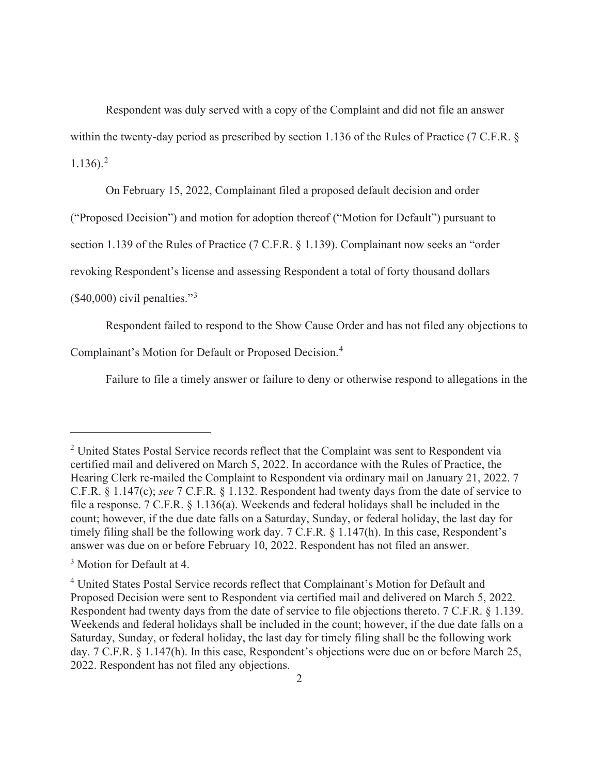Respondent was duly served with a copy of the Complaint and did not file an answer within the twenty-day period as prescribed by section 1.136 of the Rules of Practice (7 C.F.R. §  $1.136$ ).<sup>2</sup>

On February 15, 2022, Complainant filed a proposed default decision and order

("Proposed Decision") and motion for adoption thereof ("Motion for Default") pursuant to

section 1.139 of the Rules of Practice (7 C.F.R. § 1.139). Complainant now seeks an "order

revoking Respondent's license and assessing Respondent a total of forty thousand dollars

 $($40,000)$  civil penalties."<sup>3</sup>

Respondent failed to respond to the Show Cause Order and has not filed any objections to

Complainant's Motion for Default or Proposed Decision.<sup>4</sup>

Failure to file a timely answer or failure to deny or otherwise respond to allegations in the

<sup>&</sup>lt;sup>2</sup> United States Postal Service records reflect that the Complaint was sent to Respondent via certified mail and delivered on March 5, 2022. In accordance with the Rules of Practice, the Hearing Clerk re-mailed the Complaint to Respondent via ordinary mail on January 21, 2022. 7 C.F.R. § 1.147(c); *see* 7 C.F.R. § 1.132. Respondent had twenty days from the date of service to file a response. 7 C.F.R. § 1.136(a). Weekends and federal holidays shall be included in the count; however, if the due date falls on a Saturday, Sunday, or federal holiday, the last day for timely filing shall be the following work day. 7 C.F.R. § 1.147(h). In this case, Respondent's answer was due on or before February 10, 2022. Respondent has not filed an answer.

<sup>&</sup>lt;sup>3</sup> Motion for Default at 4.

<sup>&</sup>lt;sup>4</sup> United States Postal Service records reflect that Complainant's Motion for Default and Proposed Decision were sent to Respondent via certified mail and delivered on March 5, 2022. Respondent had twenty days from the date of service to file objections thereto. 7 C.F.R. § 1.139. Weekends and federal holidays shall be included in the count; however, if the due date falls on a Saturday, Sunday, or federal holiday, the last day for timely filing shall be the following work day. 7 C.F.R. § 1.147(h). In this case, Respondent's objections were due on or before March 25, 2022. Respondent has not filed any objections.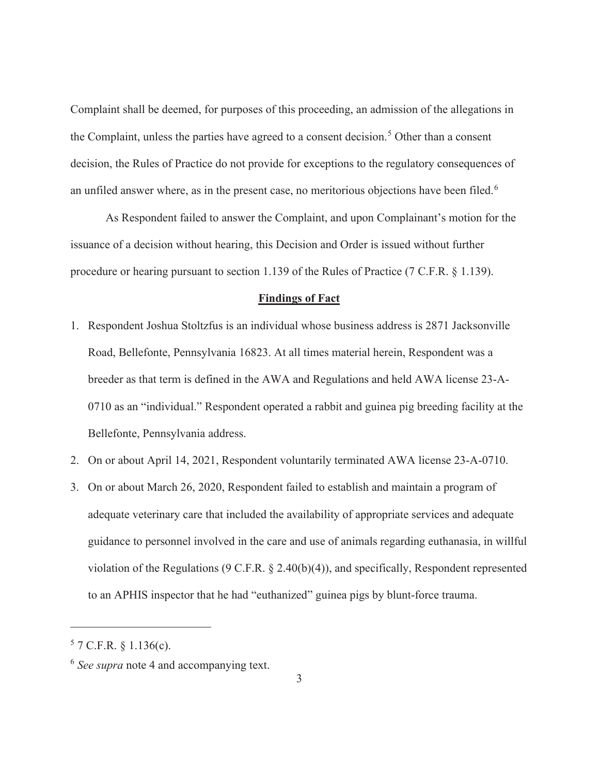Complaint shall be deemed, for purposes of this proceeding, an admission of the allegations in the Complaint, unless the parties have agreed to a consent decision.<sup>5</sup> Other than a consent decision, the Rules of Practice do not provide for exceptions to the regulatory consequences of an unfiled answer where, as in the present case, no meritorious objections have been filed.<sup>6</sup>

 As Respondent failed to answer the Complaint, and upon Complainant's motion for the issuance of a decision without hearing, this Decision and Order is issued without further procedure or hearing pursuant to section 1.139 of the Rules of Practice (7 C.F.R. § 1.139).

### **Findings of Fact**

- 1. Respondent Joshua Stoltzfus is an individual whose business address is 2871 Jacksonville Road, Bellefonte, Pennsylvania 16823. At all times material herein, Respondent was a breeder as that term is defined in the AWA and Regulations and held AWA license 23-A-0710 as an "individual." Respondent operated a rabbit and guinea pig breeding facility at the Bellefonte, Pennsylvania address.
- 2. On or about April 14, 2021, Respondent voluntarily terminated AWA license 23-A-0710.
- 3. On or about March 26, 2020, Respondent failed to establish and maintain a program of adequate veterinary care that included the availability of appropriate services and adequate guidance to personnel involved in the care and use of animals regarding euthanasia, in willful violation of the Regulations (9 C.F.R. § 2.40(b)(4)), and specifically, Respondent represented to an APHIS inspector that he had "euthanized" guinea pigs by blunt-force trauma.

 $57$  C.F.R. § 1.136(c).

<sup>6</sup> *See supra* note 4 and accompanying text.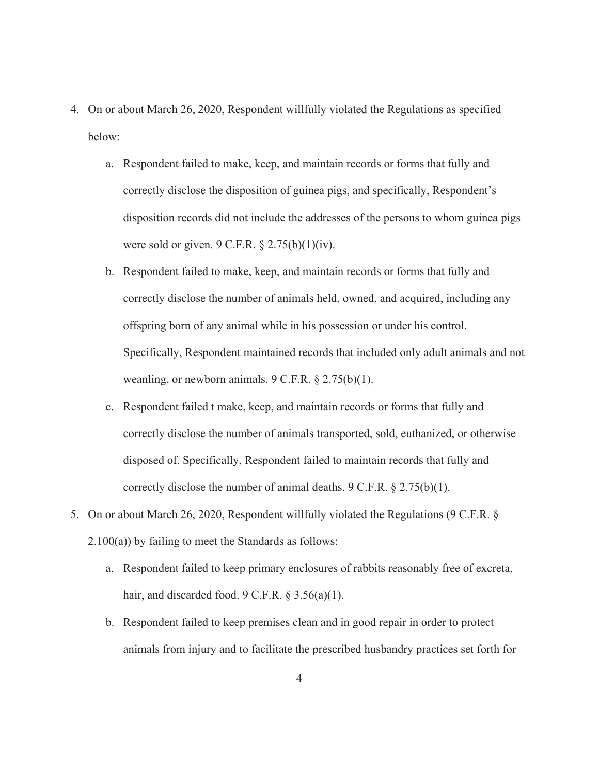- 4. On or about March 26, 2020, Respondent willfully violated the Regulations as specified below:
	- a. Respondent failed to make, keep, and maintain records or forms that fully and correctly disclose the disposition of guinea pigs, and specifically, Respondent's disposition records did not include the addresses of the persons to whom guinea pigs were sold or given.  $9 \text{ C.F.R.} \$   $2.75(b)(1)(iv)$ .
	- b. Respondent failed to make, keep, and maintain records or forms that fully and correctly disclose the number of animals held, owned, and acquired, including any offspring born of any animal while in his possession or under his control. Specifically, Respondent maintained records that included only adult animals and not weanling, or newborn animals.  $9 \text{ C.F.R.} \$  $8 \frac{2.75(b)(1)}{1}$ .
	- c. Respondent failed t make, keep, and maintain records or forms that fully and correctly disclose the number of animals transported, sold, euthanized, or otherwise disposed of. Specifically, Respondent failed to maintain records that fully and correctly disclose the number of animal deaths. 9 C.F.R. § 2.75(b)(1).
- 5. On or about March 26, 2020, Respondent willfully violated the Regulations (9 C.F.R. § 2.100(a)) by failing to meet the Standards as follows:
	- a. Respondent failed to keep primary enclosures of rabbits reasonably free of excreta, hair, and discarded food.  $9 \text{ C.F.R.}$  § 3.56(a)(1).
	- b. Respondent failed to keep premises clean and in good repair in order to protect animals from injury and to facilitate the prescribed husbandry practices set forth for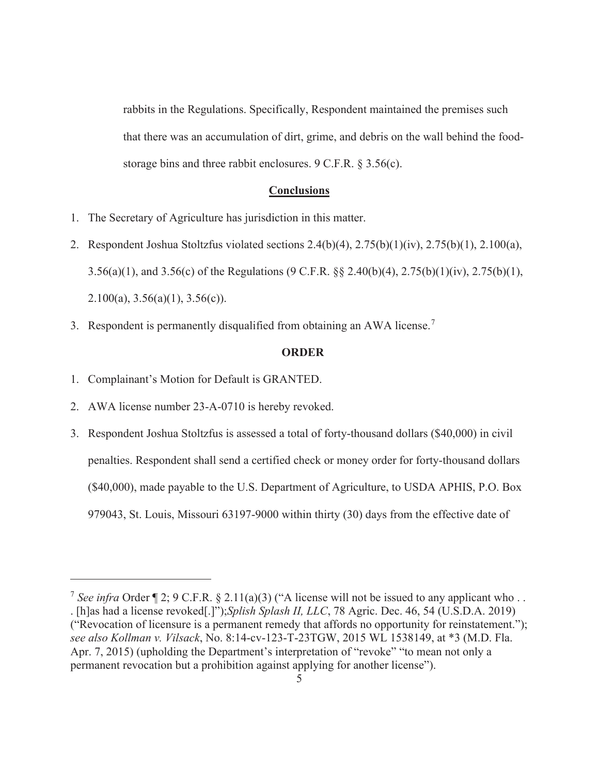rabbits in the Regulations. Specifically, Respondent maintained the premises such that there was an accumulation of dirt, grime, and debris on the wall behind the foodstorage bins and three rabbit enclosures. 9 C.F.R. § 3.56(c).

#### **Conclusions**

- 1. The Secretary of Agriculture has jurisdiction in this matter.
- 2. Respondent Joshua Stoltzfus violated sections 2.4(b)(4), 2.75(b)(1)(iv), 2.75(b)(1), 2.100(a), 3.56(a)(1), and 3.56(c) of the Regulations (9 C.F.R. §§ 2.40(b)(4), 2.75(b)(1)(iv), 2.75(b)(1), 2.100(a),  $3.56(a)(1)$ ,  $3.56(c)$ ).
- 3. Respondent is permanently disqualified from obtaining an AWA license.<sup>7</sup>

#### **ORDER**

- 1. Complainant's Motion for Default is GRANTED.
- 2. AWA license number 23-A-0710 is hereby revoked.
- 3. Respondent Joshua Stoltzfus is assessed a total of forty-thousand dollars (\$40,000) in civil penalties. Respondent shall send a certified check or money order for forty-thousand dollars (\$40,000), made payable to the U.S. Department of Agriculture, to USDA APHIS, P.O. Box 979043, St. Louis, Missouri 63197-9000 within thirty (30) days from the effective date of

<sup>&</sup>lt;sup>7</sup> *See infra* Order  $\P$  2; 9 C.F.R. § 2.11(a)(3) ("A license will not be issued to any applicant who... . [h]as had a license revoked[.]");*Splish Splash II, LLC*, 78 Agric. Dec. 46, 54 (U.S.D.A. 2019) ("Revocation of licensure is a permanent remedy that affords no opportunity for reinstatement."); *see also Kollman v. Vilsack*, No. 8:14-cv-123-T-23TGW, 2015 WL 1538149, at \*3 (M.D. Fla. Apr. 7, 2015) (upholding the Department's interpretation of "revoke" "to mean not only a permanent revocation but a prohibition against applying for another license").